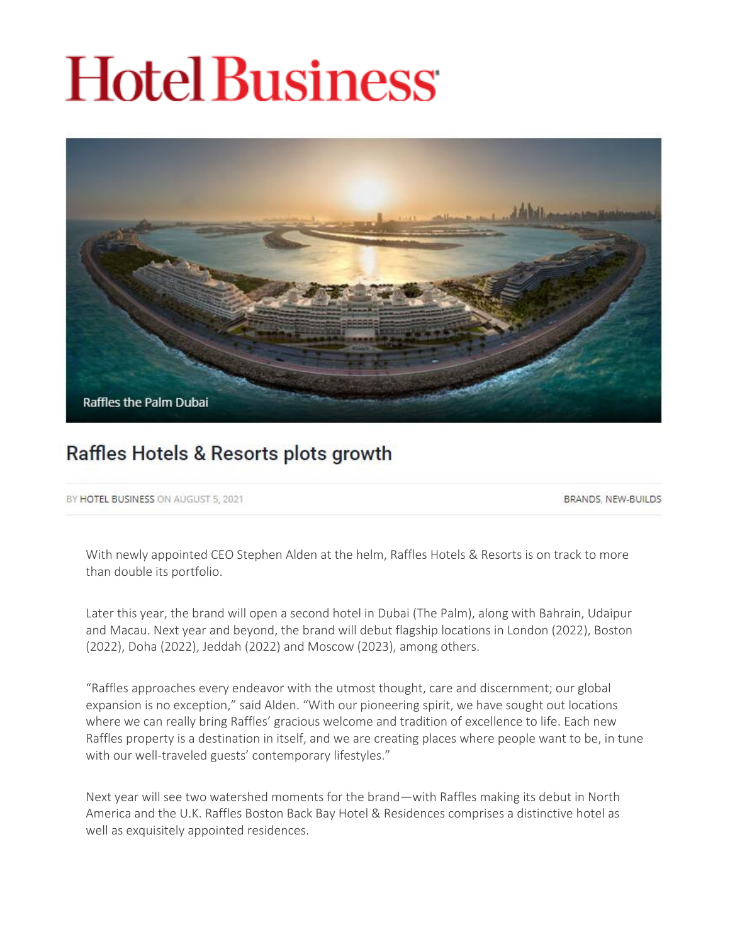# **Hotel Business**



# Raffles Hotels & Resorts plots growth

BY HOTEL BUSINESS ON AUGUST 5, 2021

BRANDS, NEW-BUILDS

With newly appointed CEO Stephen Alden at the helm, Raffles Hotels & Resorts is on track to more than double its portfolio.

Later this year, the brand will open a second hotel in Dubai (The Palm), along with Bahrain, Udaipur and Macau. Next year and beyond, the brand will debut flagship locations in London (2022), Boston (2022), Doha (2022), Jeddah (2022) and Moscow (2023), among others.

"Raffles approaches every endeavor with the utmost thought, care and discernment; our global expansion is no exception," said Alden. "With our pioneering spirit, we have sought out locations where we can really bring Raffles' gracious welcome and tradition of excellence to life. Each new Raffles property is a destination in itself, and we are creating places where people want to be, in tune with our well-traveled guests' contemporary lifestyles."

Next year will see two watershed moments for the brand—with Raffles making its debut in North America and the U.K. Raffles Boston Back Bay Hotel & Residences comprises a distinctive hotel as well as exquisitely appointed residences.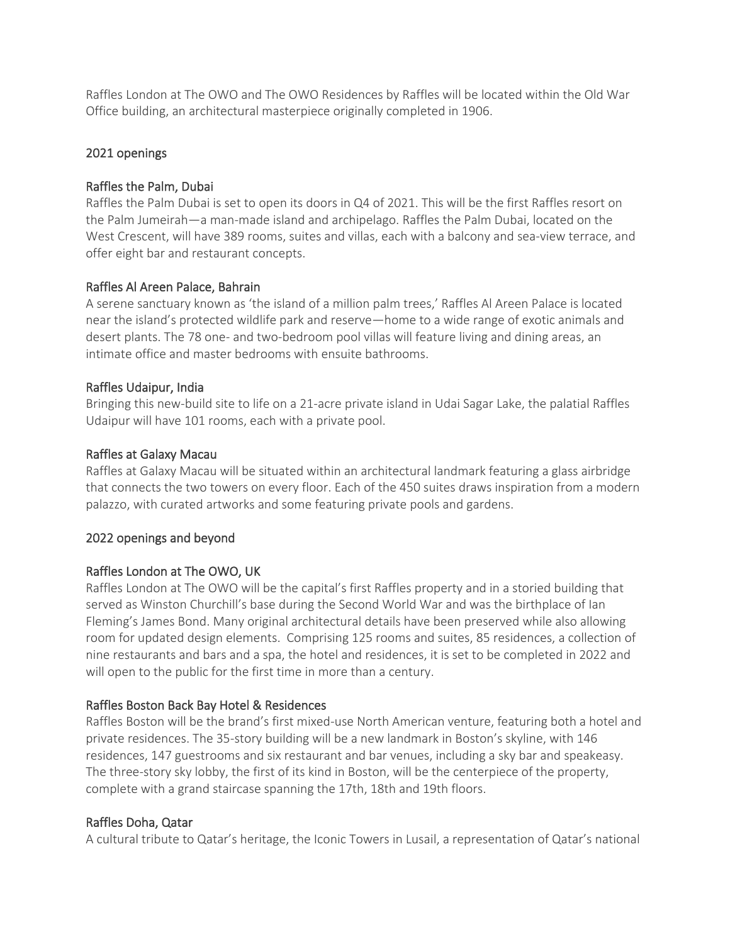Raffles London at The OWO and The OWO Residences by Raffles will be located within the Old War Office building, an architectural masterpiece originally completed in 1906.

#### 2021 openings

# Raffles the Palm, Dubai

Raffles the Palm Dubai is set to open its doors in Q4 of 2021. This will be the first Raffles resort on the Palm Jumeirah—a man-made island and archipelago. Raffles the Palm Dubai, located on the West Crescent, will have 389 rooms, suites and villas, each with a balcony and sea-view terrace, and offer eight bar and restaurant concepts.

# Raffles Al Areen Palace, Bahrain

A serene sanctuary known as 'the island of a million palm trees,' Raffles Al Areen Palace is located near the island's protected wildlife park and reserve—home to a wide range of exotic animals and desert plants. The 78 one- and two-bedroom pool villas will feature living and dining areas, an intimate office and master bedrooms with ensuite bathrooms.

# Raffles Udaipur, India

Bringing this new-build site to life on a 21-acre private island in Udai Sagar Lake, the palatial Raffles Udaipur will have 101 rooms, each with a private pool.

# Raffles at Galaxy Macau

Raffles at Galaxy Macau will be situated within an architectural landmark featuring a glass airbridge that connects the two towers on every floor. Each of the 450 suites draws inspiration from a modern palazzo, with curated artworks and some featuring private pools and gardens.

# 2022 openings and beyond

# Raffles London at The OWO, UK

Raffles London at The OWO will be the capital's first Raffles property and in a storied building that served as Winston Churchill's base during the Second World War and was the birthplace of Ian Fleming's James Bond. Many original architectural details have been preserved while also allowing room for updated design elements. Comprising 125 rooms and suites, 85 residences, a collection of nine restaurants and bars and a spa, the hotel and residences, it is set to be completed in 2022 and will open to the public for the first time in more than a century.

#### Raffles Boston Back Bay Hotel & Residences

Raffles Boston will be the brand's first mixed-use North American venture, featuring both a hotel and private residences. The 35-story building will be a new landmark in Boston's skyline, with 146 residences, 147 guestrooms and six restaurant and bar venues, including a sky bar and speakeasy. The three-story sky lobby, the first of its kind in Boston, will be the centerpiece of the property, complete with a grand staircase spanning the 17th, 18th and 19th floors.

#### Raffles Doha, Qatar

A cultural tribute to Qatar's heritage, the Iconic Towers in Lusail, a representation of Qatar's national